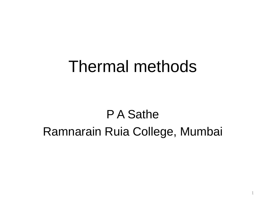# Thermal methods

# P A Sathe Ramnarain Ruia College, Mumbai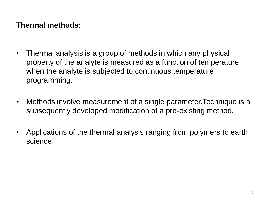#### **Thermal methods:**

- Thermal analysis is a group of methods in which any physical property of the analyte is measured as a function of temperature when the analyte is subjected to continuous temperature programming.
- Methods involve measurement of a single parameter.Technique is a subsequently developed modification of a pre-existing method.
- Applications of the thermal analysis ranging from polymers to earth science.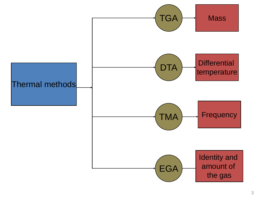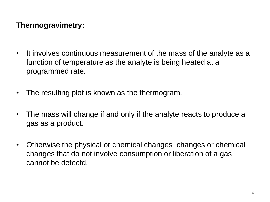- It involves continuous measurement of the mass of the analyte as a function of temperature as the analyte is being heated at a programmed rate.
- The resulting plot is known as the thermogram.
- The mass will change if and only if the analyte reacts to produce a gas as a product.
- Otherwise the physical or chemical changes changes or chemical changes that do not involve consumption or liberation of a gas cannot be detectd.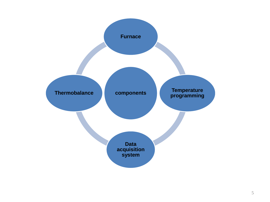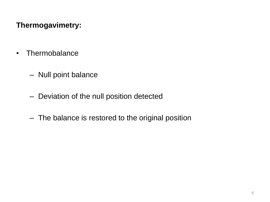- Thermobalance
	- Null point balance
	- Deviation of the null position detected
	- The balance is restored to the original position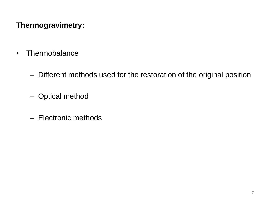- Thermobalance
	- Different methods used for the restoration of the original position
	- Optical method
	- Electronic methods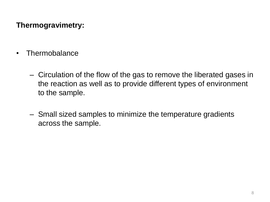- Thermobalance
	- Circulation of the flow of the gas to remove the liberated gases in the reaction as well as to provide different types of environment to the sample.
	- Small sized samples to minimize the temperature gradients across the sample.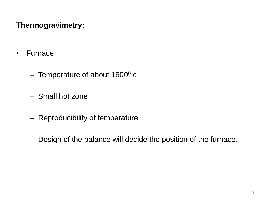- Furnace
	- Temperature of about 1600<sup>0</sup> c
	- Small hot zone
	- Reproducibility of temperature
	- Design of the balance will decide the position of the furnace.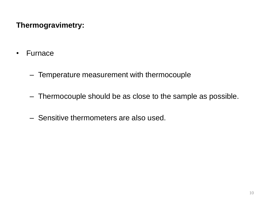- Furnace
	- Temperature measurement with thermocouple
	- Thermocouple should be as close to the sample as possible.
	- Sensitive thermometers are also used.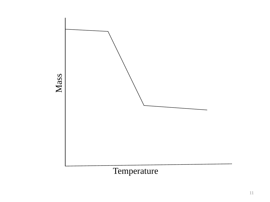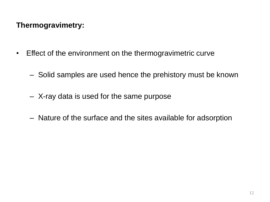- Effect of the environment on the thermogravimetric curve
	- Solid samples are used hence the prehistory must be known
	- X-ray data is used for the same purpose
	- Nature of the surface and the sites available for adsorption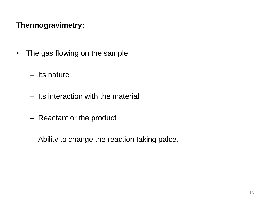- The gas flowing on the sample
	- Its nature
	- Its interaction with the material
	- Reactant or the product
	- Ability to change the reaction taking palce.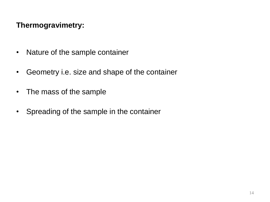- Nature of the sample container
- Geometry i.e. size and shape of the container
- The mass of the sample
- Spreading of the sample in the container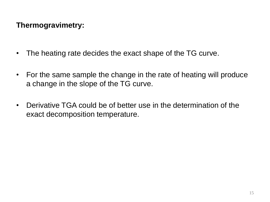- The heating rate decides the exact shape of the TG curve.
- For the same sample the change in the rate of heating will produce a change in the slope of the TG curve.
- Derivative TGA could be of better use in the determination of the exact decomposition temperature.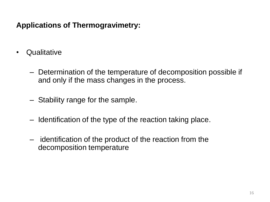# **Applications of Thermogravimetry:**

- Qualitative
	- Determination of the temperature of decomposition possible if and only if the mass changes in the process.
	- Stability range for the sample.
	- Identification of the type of the reaction taking place.
	- identification of the product of the reaction from the decomposition temperature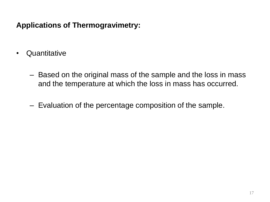# **Applications of Thermogravimetry:**

- Quantitative
	- Based on the original mass of the sample and the loss in mass and the temperature at which the loss in mass has occurred.
	- Evaluation of the percentage composition of the sample.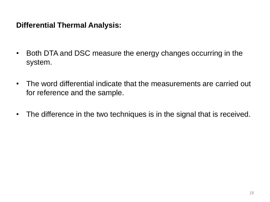- Both DTA and DSC measure the energy changes occurring in the system.
- The word differential indicate that the measurements are carried out for reference and the sample.
- The difference in the two techniques is in the signal that is received.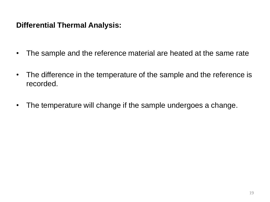- The sample and the reference material are heated at the same rate
- The difference in the temperature of the sample and the reference is recorded.
- The temperature will change if the sample undergoes a change.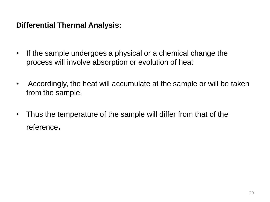- If the sample undergoes a physical or a chemical change the process will involve absorption or evolution of heat
- Accordingly, the heat will accumulate at the sample or will be taken from the sample.
- Thus the temperature of the sample will differ from that of the reference.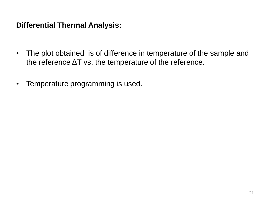- The plot obtained is of difference in temperature of the sample and the reference ΔT vs. the temperature of the reference.
- Temperature programming is used.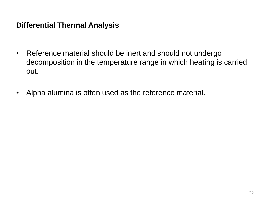- Reference material should be inert and should not undergo decomposition in the temperature range in which heating is carried out.
- Alpha alumina is often used as the reference material.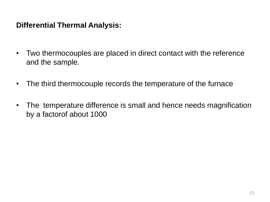- Two thermocouples are placed in direct contact with the reference and the sample.
- The third thermocouple records the temperature of the furnace
- The temperature difference is small and hence needs magnification by a factorof about 1000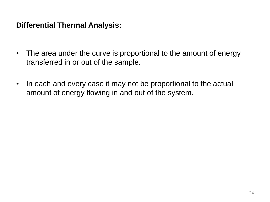- The area under the curve is proportional to the amount of energy transferred in or out of the sample.
- In each and every case it may not be proportional to the actual amount of energy flowing in and out of the system.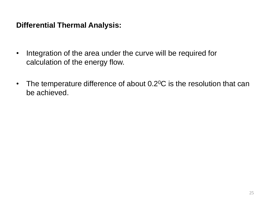- Integration of the area under the curve will be required for calculation of the energy flow.
- The temperature difference of about  $0.2$ <sup>o</sup>C is the resolution that can be achieved.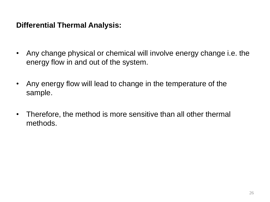- Any change physical or chemical will involve energy change i.e. the energy flow in and out of the system.
- Any energy flow will lead to change in the temperature of the sample.
- Therefore, the method is more sensitive than all other thermal methods.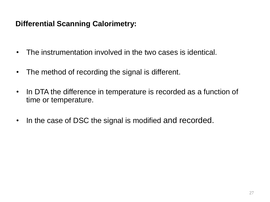# **Differential Scanning Calorimetry:**

- The instrumentation involved in the two cases is identical.
- The method of recording the signal is different.
- In DTA the difference in temperature is recorded as a function of time or temperature.
- In the case of DSC the signal is modified and recorded.